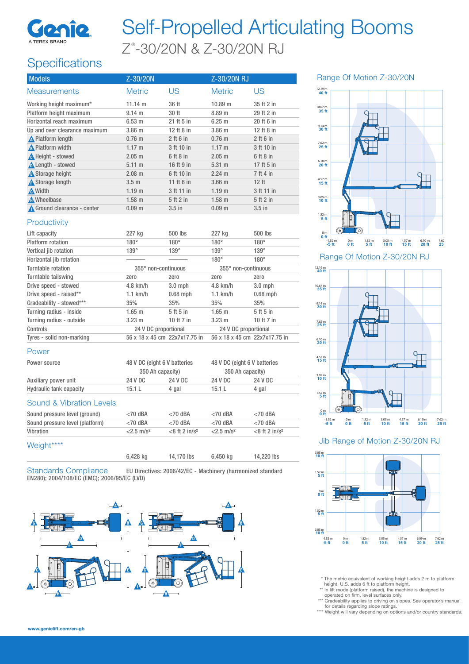

# Self-Propelled Articulating Booms Z°-30/20N & Z-30/20N RJ

# **Specifications**

| <b>Models</b>                 | Z-30/20N          |             | Z-30/20N RJ       |               |
|-------------------------------|-------------------|-------------|-------------------|---------------|
| <b>Measurements</b>           | <b>Metric</b>     | <b>US</b>   | <b>Metric</b>     | US            |
| Working height maximum*       | 11.14 $m$         | 36 ft       | 10.89 m           | 35 ft 2 in    |
| Platform height maximum       | $9.14 \text{ m}$  | 30 ft       | 8.89 <sub>m</sub> | 29 ft 2 in    |
| Horizontal reach maximum      | 6.53 <sub>m</sub> | 21 ft 5 in  | 6.25 m            | 20 ft 6 in    |
| Up and over clearance maximum | $3.86$ m          | 12 ft 8 in  | $3.86$ m          | 12 ft 8 in    |
| <b>A</b> Platform length      | $0.76$ m          | $2$ ft 6 in | $0.76$ m          | $2$ ft 6 in   |
| <b>A</b> Platform width       | $1.17 \text{ m}$  | 3 ft 10 in  | $1.17 \text{ m}$  | 3 ft 10 in    |
| A Height - stowed             | $2.05 \text{ m}$  | 6 ft 8 in   | $2.05 \text{ m}$  | $6$ ft $8$ in |
| <b>A</b> Length - stowed      | $5.11 \text{ m}$  | 16 ft 9 in  | $5.31 \text{ m}$  | 17 ft 5 in    |
| <b>A</b> Storage height       | $2.08$ m          | 6 ft 10 in  | $2.24 \text{ m}$  | 7 ft 4 in     |
| <b>A</b> Storage length       | 3.5 <sub>m</sub>  | 11 ft 6 in  | $3.66$ m          | $12$ ft       |
| <b>A</b> Width                | 1.19 m            | 3 ft 11 in  | 1.19 m            | 3 ft 11 in    |
| Mheelbase                     | $1.58$ m          | 5 ft 2 in   | $1.58$ m          | 5ft2in        |
| ▲ Ground clearance - center   | 0.09 <sub>m</sub> | $3.5$ in    | 0.09 <sub>m</sub> | $3.5$ in      |

# **Productivity**

| Lift capacity             | 227 kg           | 500 lbs                       | 227 kg           | 500 lbs                       |  |
|---------------------------|------------------|-------------------------------|------------------|-------------------------------|--|
| <b>Platform</b> rotation  | $180^\circ$      | $180^\circ$                   | $180^\circ$      | $180^\circ$                   |  |
| Vertical jib rotation     | $139^\circ$      | $139^\circ$                   | $139^\circ$      | $139^\circ$                   |  |
| Horizontal jib rotation   |                  |                               | $180^\circ$      | $180^\circ$                   |  |
| Turntable rotation        |                  | 355° non-continuous           |                  | 355° non-continuous           |  |
| Turntable tailswing       | zero             | zero                          | zero             | zero                          |  |
| Drive speed - stowed      | $4.8$ km/h       | $3.0$ mph                     | $4.8$ km/h       | $3.0$ mph                     |  |
| Drive speed - raised**    | $1.1$ km/h       | $0.68$ mph                    | $1.1$ km/h       | $0.68$ mph                    |  |
| Gradeability - stowed***  | 35%              | 35%                           | 35%              | 35%                           |  |
| Turning radius - inside   | $1.65 \; m$      | 5 ft 5 in                     | $1.65$ m         | 5 ft 5 in                     |  |
| Turning radius - outside  | $3.23 \text{ m}$ | 10 ft 7 in                    | $3.23 \text{ m}$ | 10 ft 7 in                    |  |
| Controls                  |                  | 24 V DC proportional          |                  | 24 V DC proportional          |  |
| Tyres - solid non-marking |                  | 56 x 18 x 45 cm 22x7x17.75 in |                  | 56 x 18 x 45 cm 22x7x17.75 in |  |

## Power

| Power source                    | 48 V DC (eight 6 V batteries<br>350 Ah capacity) |                             | 48 V DC (eight 6 V batteries<br>350 Ah capacity) |                     |
|---------------------------------|--------------------------------------------------|-----------------------------|--------------------------------------------------|---------------------|
|                                 |                                                  |                             |                                                  |                     |
| Auxiliary power unit            | 24 V DC                                          | 24 V DC                     | 24 V DC                                          | 24 V DC             |
| <b>Hydraulic tank capacity</b>  | 15.1 L                                           | 4 gal                       | 15.1L                                            | 4 gal               |
| Sound & Vibration Levels        |                                                  |                             |                                                  |                     |
| Sound pressure level (ground)   | $<$ 70 dBA                                       | $<$ 70 dBA                  | $<$ 70 dBA                                       | $<$ 70 dBA          |
| Sound pressure level (platform) | $<$ 70 dBA                                       | $<$ 70 dBA                  | $<$ 70 dBA                                       | $<$ 70 dBA          |
| Vibration                       | $< 2.5$ m/s <sup>2</sup>                         | $<8$ ft 2 in/s <sup>2</sup> | $< 2.5$ m/s <sup>2</sup>                         | $<8$ ft 2 in/ $s^2$ |
| Weight****                      |                                                  |                             |                                                  |                     |
|                                 | 6,428 kg                                         | 14.170 lbs                  | 6.450 kg                                         | 14,220 lbs          |

Standards Compliance EU Directives: 2006/42/EC - Machinery (harmonized standard EN280); 2004/108/EC (EMC); 2006/95/EC (LVD)



# Range Of Motion Z-30/20N



Range Of Motion Z-30/20N RJ



Jib Range of Motion Z-30/20N RJ



\* The metric equivalent of working height adds 2 m to platform height. U.S. adds 6 ft to platform height. \*\* In lift mode (platform raised), the machine is designed to

operated on firm, level surfaces only.

 \*\*\* Gradeability applies to driving on slopes. See operator's manual for details regarding slope ratings. \*\*\*\* Weight will vary depending on options and/or country standards.